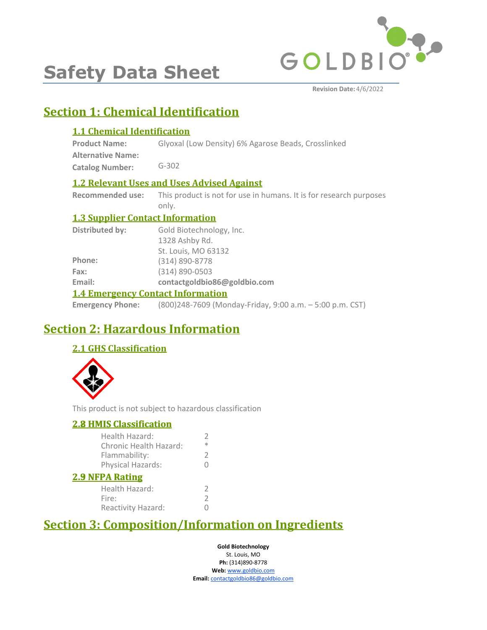

# **Safety Data Sheet**

**Revision Date:** 4/6/2022

### **Section 1: Chemical Identification**

#### **1.1 Chemical Identification**

| <b>Product Name:</b>     | Glyoxal (Low Density) 6% Agarose Beads, Crosslinked |
|--------------------------|-----------------------------------------------------|
| <b>Alternative Name:</b> |                                                     |
| <b>Catalog Number:</b>   | $G-302$                                             |

#### **1.2 Relevant Uses and Uses Advised Against**

**Recommended use:** This product is not for use in humans. It is for research purposes only.

#### **1.3 Supplier Contact Information**

| Distributed by: | Gold Biotechnology, Inc.                                                                                                                                                                                                                                                                                                                                                                                                                                                                   |
|-----------------|--------------------------------------------------------------------------------------------------------------------------------------------------------------------------------------------------------------------------------------------------------------------------------------------------------------------------------------------------------------------------------------------------------------------------------------------------------------------------------------------|
|                 | 1328 Ashby Rd.                                                                                                                                                                                                                                                                                                                                                                                                                                                                             |
|                 | St. Louis, MO 63132                                                                                                                                                                                                                                                                                                                                                                                                                                                                        |
| Phone:          | (314) 890-8778                                                                                                                                                                                                                                                                                                                                                                                                                                                                             |
| Fax:            | (314) 890-0503                                                                                                                                                                                                                                                                                                                                                                                                                                                                             |
| Email:          | contactgoldbio86@goldbio.com                                                                                                                                                                                                                                                                                                                                                                                                                                                               |
|                 | <b>1.4 Emergency Contact Information</b>                                                                                                                                                                                                                                                                                                                                                                                                                                                   |
|                 | $\blacksquare$ $\blacksquare$ $\blacksquare$ $\blacksquare$ $\blacksquare$ $\blacksquare$ $\blacksquare$ $\blacksquare$ $\blacksquare$ $\blacksquare$ $\blacksquare$ $\blacksquare$ $\blacksquare$ $\blacksquare$ $\blacksquare$ $\blacksquare$ $\blacksquare$ $\blacksquare$ $\blacksquare$ $\blacksquare$ $\blacksquare$ $\blacksquare$ $\blacksquare$ $\blacksquare$ $\blacksquare$ $\blacksquare$ $\blacksquare$ $\blacksquare$ $\blacksquare$ $\blacksquare$ $\blacksquare$ $\blacks$ |

**Emergency Phone:** (800)248-7609 (Monday-Friday, 9:00 a.m. – 5:00 p.m. CST)

### **Section 2: Hazardous Information**

#### **2.1 GHS Classification**



This product is not subject to hazardous classification

| <b>2.8 HMIS Classification</b>           |                                    |
|------------------------------------------|------------------------------------|
| Health Hazard:<br>Chronic Health Hazard: | $\overline{\phantom{a}}$<br>$\ast$ |
| Flammability:                            | $\overline{\phantom{a}}$           |
| Physical Hazards:                        | 0                                  |
| <b>2.9 NFPA Rating</b>                   |                                    |
| Health Hazard:                           | $\overline{2}$                     |
| Fire:                                    | $\overline{\phantom{a}}$           |
| Reactivity Hazard:                       |                                    |

### **Section 3: Composition/Information on Ingredients**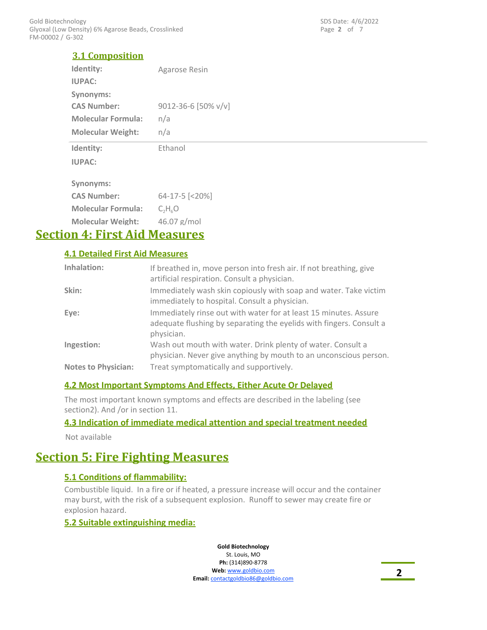#### **3.1 Composition**

| Identity:<br><b>IUPAC:</b> | Agarose Resin       |
|----------------------------|---------------------|
| Synonyms:                  |                     |
| <b>CAS Number:</b>         | 9012-36-6 [50% v/v] |
| <b>Molecular Formula:</b>  | n/a                 |
| <b>Molecular Weight:</b>   | n/a                 |
| Identity:                  | Ethanol             |
| <b>IUPAC:</b>              |                     |
| Synonyms:                  |                     |
| <b>CAS Number:</b>         | 64-17-5 [<20%]      |
| <b>Molecular Formula:</b>  | $C_2H_6O$           |
| <b>Molecular Weight:</b>   | $46.07$ g/mol       |
| .                          |                     |

### **Section 4: First Aid Measures**

#### **4.1 Detailed First Aid Measures**

| Inhalation:                | If breathed in, move person into fresh air. If not breathing, give<br>artificial respiration. Consult a physician.                                    |
|----------------------------|-------------------------------------------------------------------------------------------------------------------------------------------------------|
| Skin:                      | Immediately wash skin copiously with soap and water. Take victim<br>immediately to hospital. Consult a physician.                                     |
| Eye:                       | Immediately rinse out with water for at least 15 minutes. Assure<br>adequate flushing by separating the eyelids with fingers. Consult a<br>physician. |
| Ingestion:                 | Wash out mouth with water. Drink plenty of water. Consult a<br>physician. Never give anything by mouth to an unconscious person.                      |
| <b>Notes to Physician:</b> | Treat symptomatically and supportively.                                                                                                               |

#### **4.2 Most Important Symptoms And Effects, Either Acute Or Delayed**

The most important known symptoms and effects are described in the labeling (see section2). And /or in section 11.

#### **4.3 Indication of immediate medical attention and special treatment needed**

Not available

### **Section 5: Fire Fighting Measures**

#### **5.1 Conditions of flammability:**

Combustible liquid. In a fire or if heated, a pressure increase will occur and the container may burst, with the risk of a subsequent explosion. Runoff to sewer may create fire or explosion hazard.

#### **5.2 Suitable extinguishing media:**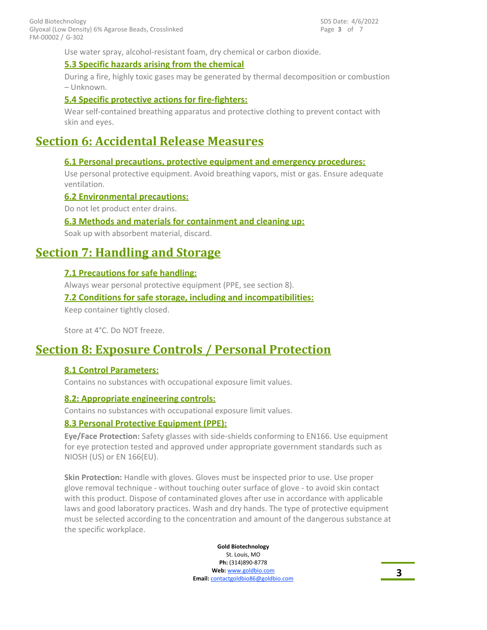FM-00002 / G-302 Gold Biotechnology Glyoxal (Low Density) 6% Agarose Beads, Crosslinked Page **3** of 7 SDS Date: 4/6/2022

Use water spray, alcohol-resistant foam, dry chemical or carbon dioxide.

#### **5.3 Specific hazards arising from the chemical**

During a fire, highly toxic gases may be generated by thermal decomposition or combustion – Unknown.

#### **5.4 Specific protective actions for fire-fighters:**

Wear self-contained breathing apparatus and protective clothing to prevent contact with skin and eyes.

### **Section 6: Accidental Release Measures**

#### **6.1 Personal precautions, protective equipment and emergency procedures:**

Use personal protective equipment. Avoid breathing vapors, mist or gas. Ensure adequate ventilation.

#### **6.2 Environmental precautions:**

Do not let product enter drains.

#### **6.3 Methods and materials for containment and cleaning up:**

Soak up with absorbent material, discard.

### **Section 7: Handling and Storage**

#### **7.1 Precautions for safe handling:**

Always wear personal protective equipment (PPE, see section 8).

#### **7.2 Conditions for safe storage, including and incompatibilities:**

Keep container tightly closed.

Store at 4°C. Do NOT freeze.

### **Section 8: Exposure Controls / Personal Protection**

#### **8.1 Control Parameters:**

Contains no substances with occupational exposure limit values.

#### **8.2: Appropriate engineering controls:**

Contains no substances with occupational exposure limit values.

#### **8.3 Personal Protective Equipment (PPE):**

**Eye/Face Protection:** Safety glasses with side-shields conforming to EN166. Use equipment for eye protection tested and approved under appropriate government standards such as NIOSH (US) or EN 166(EU).

**Skin Protection:** Handle with gloves. Gloves must be inspected prior to use. Use proper glove removal technique - without touching outer surface of glove - to avoid skin contact with this product. Dispose of contaminated gloves after use in accordance with applicable laws and good laboratory practices. Wash and dry hands. The type of protective equipment must be selected according to the concentration and amount of the dangerous substance at the specific workplace.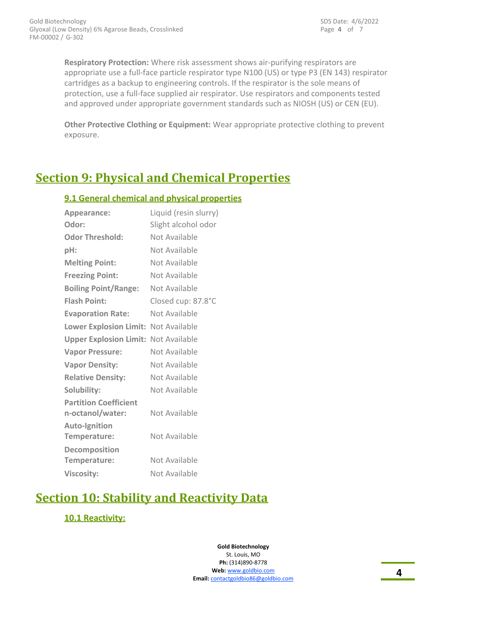**Respiratory Protection:** Where risk assessment shows air-purifying respirators are appropriate use a full-face particle respirator type N100 (US) or type P3 (EN 143) respirator cartridges as a backup to engineering controls. If the respirator is the sole means of protection, use a full-face supplied air respirator. Use respirators and components tested and approved under appropriate government standards such as NIOSH (US) or CEN (EU).

**Other Protective Clothing or Equipment:** Wear appropriate protective clothing to prevent exposure.

## **Section 9: Physical and Chemical Properties**

#### **9.1 General chemical and physical properties**

| Appearance:                                      | Liquid (resin slurry) |  |
|--------------------------------------------------|-----------------------|--|
| Odor:                                            | Slight alcohol odor   |  |
| <b>Odor Threshold:</b>                           | Not Available         |  |
| pH:                                              | Not Available         |  |
| <b>Melting Point:</b>                            | Not Available         |  |
| <b>Freezing Point:</b>                           | Not Available         |  |
| <b>Boiling Point/Range:</b>                      | Not Available         |  |
| <b>Flash Point:</b>                              | Closed cup: 87.8°C    |  |
| <b>Evaporation Rate:</b>                         | Not Available         |  |
| Lower Explosion Limit: Not Available             |                       |  |
| <b>Upper Explosion Limit: Not Available</b>      |                       |  |
| <b>Vapor Pressure:</b>                           | Not Available         |  |
| <b>Vapor Density:</b>                            | Not Available         |  |
| <b>Relative Density:</b>                         | Not Available         |  |
| Solubility:                                      | Not Available         |  |
| <b>Partition Coefficient</b><br>n-octanol/water: | Not Available         |  |
| <b>Auto-Ignition</b><br>Temperature:             | Not Available         |  |
| Decomposition<br>Temperature:                    | Not Available         |  |
| <b>Viscosity:</b>                                | Not Available         |  |

### **Section 10: Stability and Reactivity Data**

### **10.1 Reactivity:**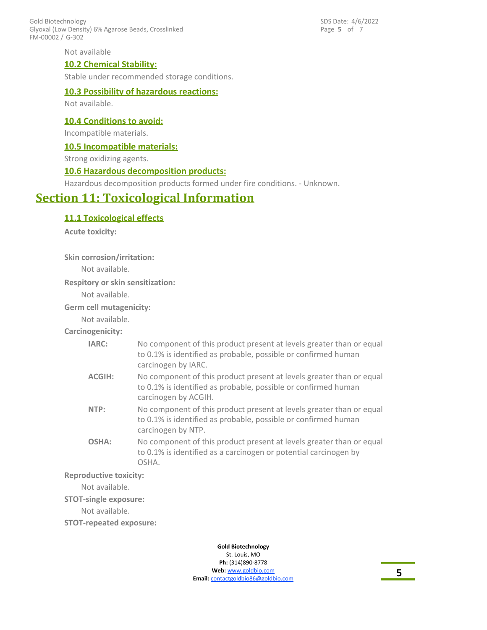FM-00002 / G-302 Gold Biotechnology Glyoxal (Low Density) 6% Agarose Beads, Crosslinked

Not available

#### **10.2 Chemical Stability:**

Stable under recommended storage conditions.

#### **10.3 Possibility of hazardous reactions:**

Not available.

#### **10.4 Conditions to avoid:**

Incompatible materials.

#### **10.5 Incompatible materials:**

Strong oxidizing agents.

#### **10.6 Hazardous decomposition products:**

Hazardous decomposition products formed under fire conditions. - Unknown.

### **Section 11: Toxicological Information**

#### **11.1 Toxicological effects**

**Acute toxicity:**

**Skin corrosion/irritation:**

Not available.

**Respitory or skin sensitization:**

Not available.

#### **Germ cell mutagenicity:**

Not available.

#### **Carcinogenicity:**

| IARC:  | No component of this product present at levels greater than or equal<br>to 0.1% is identified as probable, possible or confirmed human<br>carcinogen by IARC.  |
|--------|----------------------------------------------------------------------------------------------------------------------------------------------------------------|
| ACGIH: | No component of this product present at levels greater than or equal<br>to 0.1% is identified as probable, possible or confirmed human<br>carcinogen by ACGIH. |
| NTP:   | No component of this product present at levels greater than or equal<br>to 0.1% is identified as probable, possible or confirmed human<br>carcinogen by NTP.   |
| OSHA:  | No component of this product present at levels greater than or equal<br>to 0.1% is identified as a carcinogen or potential carcinogen by<br>OSHA.              |

**Reproductive toxicity:**

Not available.

#### **STOT-single exposure:**

Not available.

**STOT-repeated exposure:**

**Gold Biotechnology** St. Louis, MO **Ph:** (314)890-8778 **Web:** www.goldbio.com **Email:** contactgoldbio86@goldbio.com Page **5** of 7 SDS Date: 4/6/2022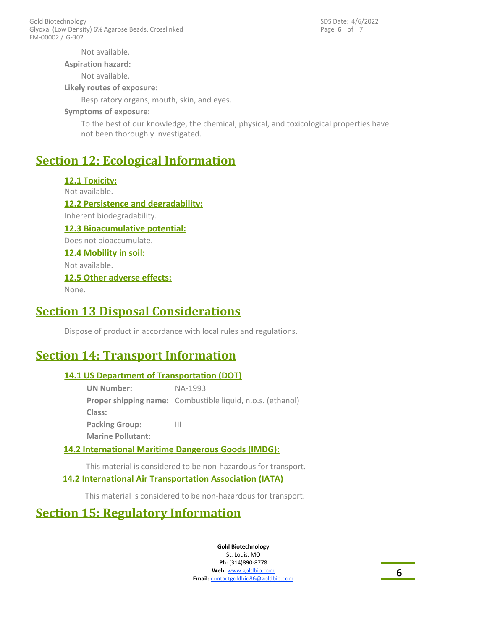FM-00002 / G-302 Gold Biotechnology Glyoxal (Low Density) 6% Agarose Beads, Crosslinked Page **6** of 7 SDS Date: 4/6/2022

Not available.

**Aspiration hazard:**

Not available.

**Likely routes of exposure:**

Respiratory organs, mouth, skin, and eyes.

#### **Symptoms of exposure:**

To the best of our knowledge, the chemical, physical, and toxicological properties have not been thoroughly investigated.

### **Section 12: Ecological Information**

#### **12.1 Toxicity:**

Not available. **12.2 Persistence and degradability:** Inherent biodegradability. **12.3 Bioacumulative potential:** Does not bioaccumulate. **12.4 Mobility in soil:** Not available. **12.5 Other adverse effects:** None.

### **Section 13 Disposal Considerations**

Dispose of product in accordance with local rules and regulations.

### **Section 14: Transport Information**

#### **14.1 US Department of Transportation (DOT)**

**UN Number:** NA-1993 **Proper shipping name:** Combustible liquid, n.o.s. (ethanol) **Class: Packing Group:** III **Marine Pollutant:**

#### **14.2 International Maritime Dangerous Goods (IMDG):**

This material is considered to be non-hazardous for transport.

#### **14.2 International Air Transportation Association (IATA)**

This material is considered to be non-hazardous for transport.

### **Section 15: Regulatory Information**